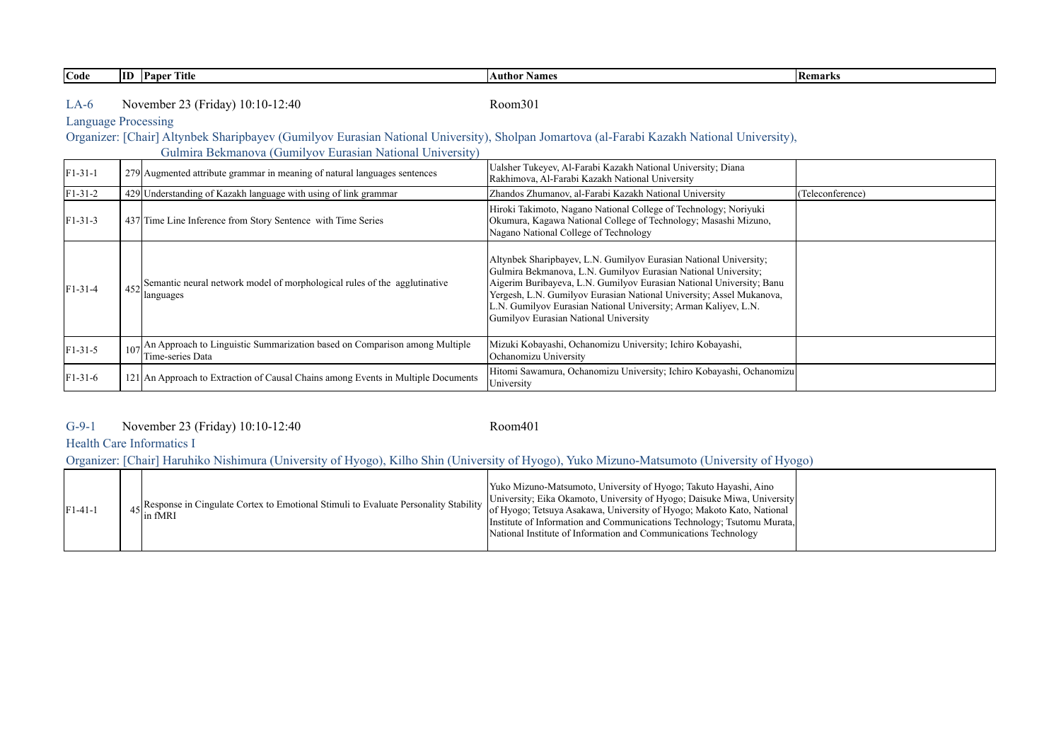| Code          | <b>ID</b> Paper Title                                                                                                                                                                                   | <b>Author Names</b>                                                                                                                                                                                                                                                                                                                                                                             | Remarks          |
|---------------|---------------------------------------------------------------------------------------------------------------------------------------------------------------------------------------------------------|-------------------------------------------------------------------------------------------------------------------------------------------------------------------------------------------------------------------------------------------------------------------------------------------------------------------------------------------------------------------------------------------------|------------------|
| $LA-6$        | November 23 (Friday) 10:10-12:40<br><b>Language Processing</b>                                                                                                                                          | Room301                                                                                                                                                                                                                                                                                                                                                                                         |                  |
|               | Organizer: [Chair] Altynbek Sharipbayev (Gumilyov Eurasian National University), Sholpan Jomartova (al-Farabi Kazakh National University),<br>Gulmira Bekmanova (Gumilyov Eurasian National University) |                                                                                                                                                                                                                                                                                                                                                                                                 |                  |
| $F1 - 31 - 1$ | 279 Augmented attribute grammar in meaning of natural languages sentences                                                                                                                               | Ualsher Tukeyev, Al-Farabi Kazakh National University; Diana<br>Rakhimova, Al-Farabi Kazakh National University                                                                                                                                                                                                                                                                                 |                  |
| $F1 - 31 - 2$ | 429 Understanding of Kazakh language with using of link grammar                                                                                                                                         | Zhandos Zhumanov, al-Farabi Kazakh National University                                                                                                                                                                                                                                                                                                                                          | (Teleconference) |
| $F1 - 31 - 3$ | 437 Time Line Inference from Story Sentence with Time Series                                                                                                                                            | Hiroki Takimoto, Nagano National College of Technology; Noriyuki<br>Okumura, Kagawa National College of Technology; Masashi Mizuno,<br>Nagano National College of Technology                                                                                                                                                                                                                    |                  |
| $F1 - 31 - 4$ | Semantic neural network model of morphological rules of the agglutinative<br>452<br>languages                                                                                                           | Altynbek Sharipbayev, L.N. Gumilyov Eurasian National University;<br>Gulmira Bekmanova, L.N. Gumilyov Eurasian National University;<br>Aigerim Buribayeva, L.N. Gumilyov Eurasian National University; Banu<br>Yergesh, L.N. Gumilyov Eurasian National University; Assel Mukanova,<br>L.N. Gumilyov Eurasian National University; Arman Kaliyev, L.N.<br>Gumilyov Eurasian National University |                  |
| F1-31-5       | An Approach to Linguistic Summarization based on Comparison among Multiple<br>Time-series Data                                                                                                          | Mizuki Kobayashi, Ochanomizu University; Ichiro Kobayashi,<br>Ochanomizu University                                                                                                                                                                                                                                                                                                             |                  |
| F1-31-6       | 121 An Approach to Extraction of Causal Chains among Events in Multiple Documents                                                                                                                       | Hitomi Sawamura, Ochanomizu University; Ichiro Kobayashi, Ochanomizu<br>University                                                                                                                                                                                                                                                                                                              |                  |

### G-9-1 Room401 November 23 (Friday) 10:10-12:40

## Health Care Informatics I

Organizer: [Chair] Haruhiko Nishimura (University of Hyogo), Kilho Shin (University of Hyogo), Yuko Mizuno-Matsumoto (University of Hyogo)

| $F1-41-1$ |  | <sup>4</sup> 45 Response in Cingulate Cortex to Emotional Stimuli to Evaluate Personality Stability $\begin{bmatrix} 1 & 1 \\ 0 & 1 \end{bmatrix}$ | Yuko Mizuno-Matsumoto, University of Hyogo; Takuto Hayashi, Aino<br>University; Eika Okamoto, University of Hyogo; Daisuke Miwa, University<br>of Hyogo; Tetsuya Asakawa, University of Hyogo; Makoto Kato, National<br>[Institute of Information and Communications Technology; Tsutomu Murata,]<br>National Institute of Information and Communications Technology |  |
|-----------|--|----------------------------------------------------------------------------------------------------------------------------------------------------|----------------------------------------------------------------------------------------------------------------------------------------------------------------------------------------------------------------------------------------------------------------------------------------------------------------------------------------------------------------------|--|
|-----------|--|----------------------------------------------------------------------------------------------------------------------------------------------------|----------------------------------------------------------------------------------------------------------------------------------------------------------------------------------------------------------------------------------------------------------------------------------------------------------------------------------------------------------------------|--|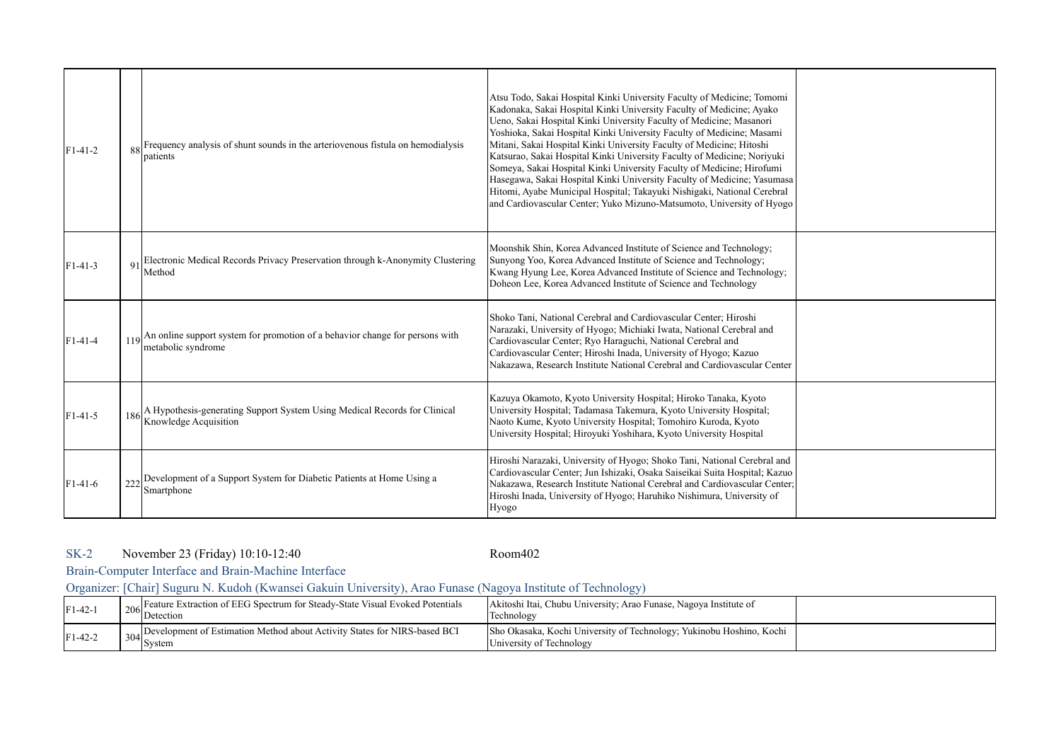| $F1-41-2$ |                | Frequency analysis of shunt sounds in the arteriovenous fistula on hemodialysis<br>patients            | Atsu Todo, Sakai Hospital Kinki University Faculty of Medicine; Tomomi<br>Kadonaka, Sakai Hospital Kinki University Faculty of Medicine; Ayako<br>Ueno, Sakai Hospital Kinki University Faculty of Medicine; Masanori<br>Yoshioka, Sakai Hospital Kinki University Faculty of Medicine; Masami<br>Mitani, Sakai Hospital Kinki University Faculty of Medicine; Hitoshi<br>Katsurao, Sakai Hospital Kinki University Faculty of Medicine; Noriyuki<br>Someya, Sakai Hospital Kinki University Faculty of Medicine; Hirofumi<br>Hasegawa, Sakai Hospital Kinki University Faculty of Medicine; Yasumasa<br>Hitomi, Ayabe Municipal Hospital; Takayuki Nishigaki, National Cerebral<br>and Cardiovascular Center; Yuko Mizuno-Matsumoto, University of Hyogo |  |
|-----------|----------------|--------------------------------------------------------------------------------------------------------|-----------------------------------------------------------------------------------------------------------------------------------------------------------------------------------------------------------------------------------------------------------------------------------------------------------------------------------------------------------------------------------------------------------------------------------------------------------------------------------------------------------------------------------------------------------------------------------------------------------------------------------------------------------------------------------------------------------------------------------------------------------|--|
| $F1-41-3$ | Q <sub>1</sub> | Electronic Medical Records Privacy Preservation through k-Anonymity Clustering<br>Method               | Moonshik Shin, Korea Advanced Institute of Science and Technology;<br>Sunyong Yoo, Korea Advanced Institute of Science and Technology;<br>Kwang Hyung Lee, Korea Advanced Institute of Science and Technology;<br>Doheon Lee, Korea Advanced Institute of Science and Technology                                                                                                                                                                                                                                                                                                                                                                                                                                                                          |  |
| $F1-41-4$ |                | An online support system for promotion of a behavior change for persons with<br>metabolic syndrome     | Shoko Tani, National Cerebral and Cardiovascular Center; Hiroshi<br>Narazaki, University of Hyogo; Michiaki Iwata, National Cerebral and<br>Cardiovascular Center; Ryo Haraguchi, National Cerebral and<br>Cardiovascular Center; Hiroshi Inada, University of Hyogo; Kazuo<br>Nakazawa, Research Institute National Cerebral and Cardiovascular Center                                                                                                                                                                                                                                                                                                                                                                                                   |  |
| $F1-41-5$ |                | 186 A Hypothesis-generating Support System Using Medical Records for Clinical<br>Knowledge Acquisition | Kazuya Okamoto, Kyoto University Hospital; Hiroko Tanaka, Kyoto<br>University Hospital; Tadamasa Takemura, Kyoto University Hospital;<br>Naoto Kume, Kyoto University Hospital; Tomohiro Kuroda, Kyoto<br>University Hospital; Hiroyuki Yoshihara, Kyoto University Hospital                                                                                                                                                                                                                                                                                                                                                                                                                                                                              |  |
| $F1-41-6$ |                | $222$ Development of a Support System for Diabetic Patients at Home Using a<br>Smartphone              | Hiroshi Narazaki, University of Hyogo; Shoko Tani, National Cerebral and<br>Cardiovascular Center; Jun Ishizaki, Osaka Saiseikai Suita Hospital; Kazuo<br>Nakazawa, Research Institute National Cerebral and Cardiovascular Center;<br>Hiroshi Inada, University of Hyogo; Haruhiko Nishimura, University of<br>Hyogo                                                                                                                                                                                                                                                                                                                                                                                                                                     |  |

#### SK-2 Room402 November 23 (Friday) 10:10-12:40

Brain-Computer Interface and Brain-Machine Interface

Organizer: [Chair] Suguru N. Kudoh (Kwansei Gakuin University), Arao Funase (Nagoya Institute of Technology)

| $F1-42-1$ | Feature Extraction of EEG Spectrum for Steady-State Visual Evoked Potentials<br>$206$ Detection          | Akitoshi Itai, Chubu University; Arao Funase, Nagoya Institute of<br>Technology                  |  |
|-----------|----------------------------------------------------------------------------------------------------------|--------------------------------------------------------------------------------------------------|--|
| $F1-42-2$ | Development of Estimation Method about Activity States for NIRS-based BCI<br>$\frac{304}{\text{System}}$ | Sho Okasaka, Kochi University of Technology; Yukinobu Hoshino, Kochi<br>University of Technology |  |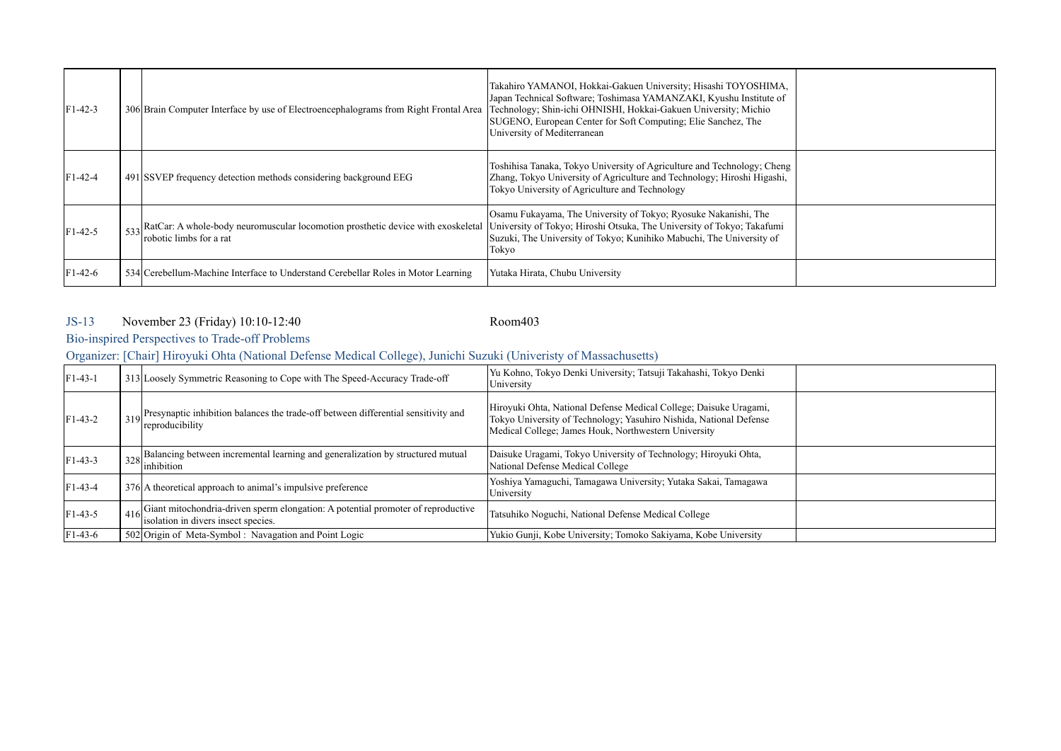| $F1-42-3$ | 306 Brain Computer Interface by use of Electroencephalograms from Right Frontal Area                                                                                                   | Takahiro YAMANOI, Hokkai-Gakuen University; Hisashi TOYOSHIMA,<br>Japan Technical Software; Toshimasa YAMANZAKI, Kyushu Institute of<br>Technology; Shin-ichi OHNISHI, Hokkai-Gakuen University; Michio<br>SUGENO, European Center for Soft Computing; Elie Sanchez, The<br>University of Mediterranean |  |
|-----------|----------------------------------------------------------------------------------------------------------------------------------------------------------------------------------------|---------------------------------------------------------------------------------------------------------------------------------------------------------------------------------------------------------------------------------------------------------------------------------------------------------|--|
| $F1-42-4$ | 491 SSVEP frequency detection methods considering background EEG                                                                                                                       | Toshihisa Tanaka, Tokyo University of Agriculture and Technology; Cheng<br>Zhang, Tokyo University of Agriculture and Technology; Hiroshi Higashi,<br>Tokyo University of Agriculture and Technology                                                                                                    |  |
| $F1-42-5$ | 533 RatCar: A whole-body neuromuscular locomotion prosthetic device with exoskeletal University of Tokyo; Hiroshi Otsuka, The University of Tokyo; Takafumi<br>robotic limbs for a rat | Osamu Fukayama, The University of Tokyo; Ryosuke Nakanishi, The<br>Suzuki, The University of Tokyo; Kunihiko Mabuchi, The University of<br>Tokyo                                                                                                                                                        |  |
| $F1-42-6$ | 534 Cerebellum-Machine Interface to Understand Cerebellar Roles in Motor Learning                                                                                                      | Yutaka Hirata, Chubu University                                                                                                                                                                                                                                                                         |  |

#### JS-13 Room403 November 23 (Friday) 10:10-12:40

# Bio-inspired Perspectives to Trade-off Problems

Organizer: [Chair] Hiroyuki Ohta (National Defense Medical College), Junichi Suzuki (Univeristy of Massachusetts)

| $F1-43-1$ | 313 Loosely Symmetric Reasoning to Cope with The Speed-Accuracy Trade-off                                                        | Yu Kohno, Tokyo Denki University; Tatsuji Takahashi, Tokyo Denki<br>University                                                                                                                  |  |
|-----------|----------------------------------------------------------------------------------------------------------------------------------|-------------------------------------------------------------------------------------------------------------------------------------------------------------------------------------------------|--|
| $F1-43-2$ | 319 Presynaptic inhibition balances the trade-off between differential sensitivity and<br>reproducibility                        | Hiroyuki Ohta, National Defense Medical College; Daisuke Uragami,<br>Tokyo University of Technology; Yasuhiro Nishida, National Defense<br>Medical College; James Houk, Northwestern University |  |
| $F1-43-3$ | Balancing between incremental learning and generalization by structured mutual<br>$\left  \frac{328}{\text{inhibition}} \right $ | Daisuke Uragami, Tokyo University of Technology; Hiroyuki Ohta,<br>National Defense Medical College                                                                                             |  |
| $F1-43-4$ | 376 A theoretical approach to animal's impulsive preference                                                                      | Yoshiya Yamaguchi, Tamagawa University; Yutaka Sakai, Tamagawa<br>University                                                                                                                    |  |
| $F1-43-5$ | Giant mitochondria-driven sperm elongation: A potential promoter of reproductive<br>isolation in divers insect species.          | Tatsuhiko Noguchi, National Defense Medical College                                                                                                                                             |  |
| $F1-43-6$ | 502 Origin of Meta-Symbol: Navagation and Point Logic                                                                            | Yukio Gunji, Kobe University; Tomoko Sakiyama, Kobe University                                                                                                                                  |  |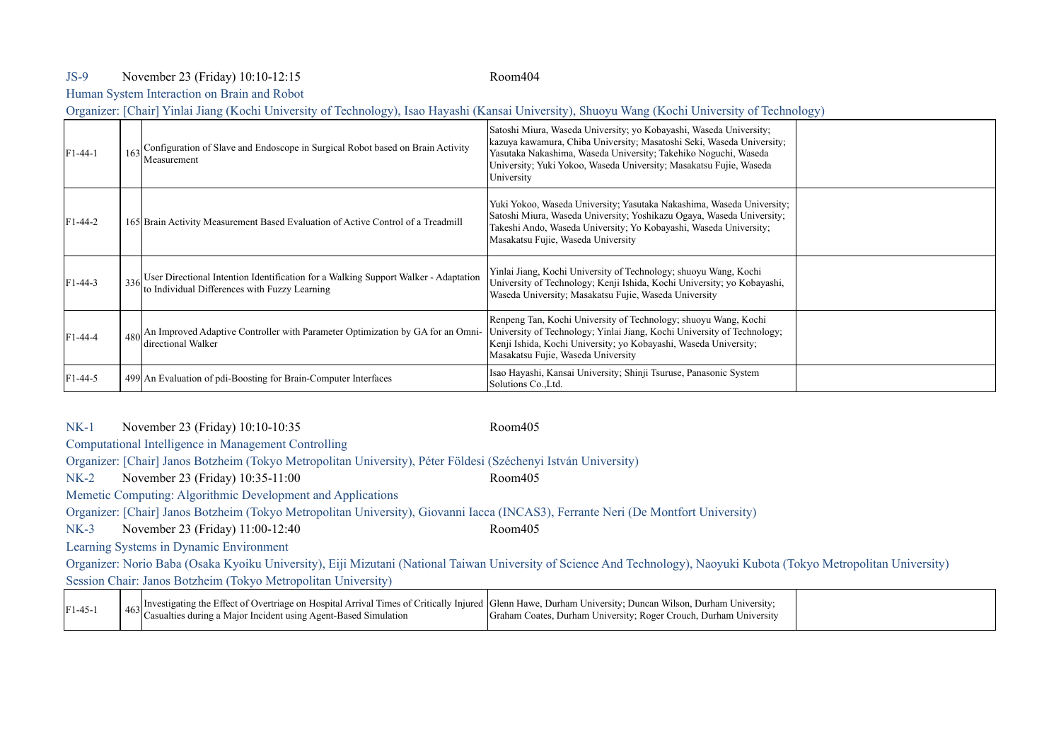### JS-9 Room404 November 23 (Friday) 10:10-12:15

Human System Interaction on Brain and Robot

Organizer: [Chair] Yinlai Jiang (Kochi University of Technology), Isao Hayashi (Kansai University), Shuoyu Wang (Kochi University of Technology)

| $F1-44-1$ | Configuration of Slave and Endoscope in Surgical Robot based on Brain Activity<br>Measurement                                            | Satoshi Miura, Waseda University; yo Kobayashi, Waseda University;<br>kazuya kawamura, Chiba University; Masatoshi Seki, Waseda University;<br>Yasutaka Nakashima, Waseda University; Takehiko Noguchi, Waseda<br>University; Yuki Yokoo, Waseda University; Masakatsu Fujie, Waseda<br>University |  |
|-----------|------------------------------------------------------------------------------------------------------------------------------------------|----------------------------------------------------------------------------------------------------------------------------------------------------------------------------------------------------------------------------------------------------------------------------------------------------|--|
| $F1-44-2$ | 165 Brain Activity Measurement Based Evaluation of Active Control of a Treadmill                                                         | Yuki Yokoo, Waseda University; Yasutaka Nakashima, Waseda University;<br>Satoshi Miura, Waseda University; Yoshikazu Ogaya, Waseda University;<br>Takeshi Ando, Waseda University; Yo Kobayashi, Waseda University;<br>Masakatsu Fujie, Waseda University                                          |  |
| $F1-44-3$ | 336 User Directional Intention Identification for a Walking Support Walker - Adaptation<br>to Individual Differences with Fuzzy Learning | Yinlai Jiang, Kochi University of Technology; shuoyu Wang, Kochi<br>University of Technology; Kenji Ishida, Kochi University; yo Kobayashi,<br>Waseda University; Masakatsu Fujie, Waseda University                                                                                               |  |
| F1-44-4   | An Improved Adaptive Controller with Parameter Optimization by GA for an Omni-<br>directional Walker                                     | Renpeng Tan, Kochi University of Technology; shuoyu Wang, Kochi<br>University of Technology; Yinlai Jiang, Kochi University of Technology;<br>Kenji Ishida, Kochi University; yo Kobayashi, Waseda University;<br>Masakatsu Fujie, Waseda University                                               |  |
| $F1-44-5$ | 499 An Evaluation of pdi-Boosting for Brain-Computer Interfaces                                                                          | Isao Hayashi, Kansai University; Shinji Tsuruse, Panasonic System<br>Solutions Co., Ltd.                                                                                                                                                                                                           |  |

NK-1 Room405 November 23 (Friday) 10:10-10:35

Computational Intelligence in Management Controlling

Organizer: [Chair] Janos Botzheim (Tokyo Metropolitan University), Péter Földesi (Széchenyi István University)

NK-2 Room405 November 23 (Friday) 10:35-11:00

Memetic Computing: Algorithmic Development and Applications

Organizer: [Chair] Janos Botzheim (Tokyo Metropolitan University), Giovanni Iacca (INCAS3), Ferrante Neri (De Montfort University)

NK-3 Room405 November 23 (Friday) 11:00-12:40 Learning Systems in Dynamic Environment

Organizer: Norio Baba (Osaka Kyoiku University), Eiji Mizutani (National Taiwan University of Science And Technology), Naoyuki Kubota (Tokyo Metropolitan University) Session Chair: Janos Botzheim (Tokyo Metropolitan University)

| $\int_{AC_2}$ Investigating the Effect of Overtriage on Hospital Arrival Times of Critically Injured Glenn Hawe, Durham University; Duncan Wilson, Durham University;<br>$F1-45-1$<br><sup>463</sup> Casualties during a Major Incident using Agent-Based Simulation<br>Graham Coates, Durham University; Roger Crouch, Durham University |  |
|-------------------------------------------------------------------------------------------------------------------------------------------------------------------------------------------------------------------------------------------------------------------------------------------------------------------------------------------|--|
|-------------------------------------------------------------------------------------------------------------------------------------------------------------------------------------------------------------------------------------------------------------------------------------------------------------------------------------------|--|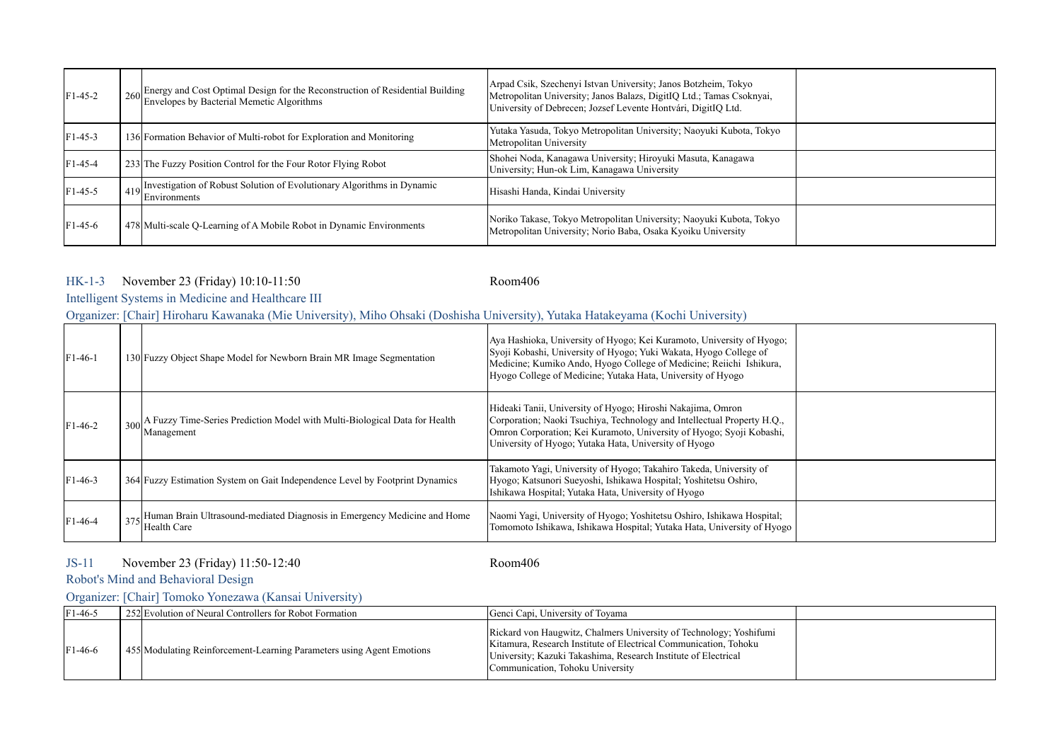| $F1-45-2$ | 260 Energy and Cost Optimal Design for the Reconstruction of Residential Building<br>Envelopes by Bacterial Memetic Algorithms | Arpad Csik, Szechenyi Istvan University; Janos Botzheim, Tokyo<br>Metropolitan University; Janos Balazs, DigitIQ Ltd.; Tamas Csoknyai,<br>University of Debrecen; Jozsef Levente Hontvári, DigitIQ Ltd. |  |
|-----------|--------------------------------------------------------------------------------------------------------------------------------|---------------------------------------------------------------------------------------------------------------------------------------------------------------------------------------------------------|--|
| $F1-45-3$ | 136 Formation Behavior of Multi-robot for Exploration and Monitoring                                                           | Yutaka Yasuda, Tokyo Metropolitan University; Naoyuki Kubota, Tokyo<br>Metropolitan University                                                                                                          |  |
| $F1-45-4$ | 233 The Fuzzy Position Control for the Four Rotor Flying Robot                                                                 | Shohei Noda, Kanagawa University; Hiroyuki Masuta, Kanagawa<br>University; Hun-ok Lim, Kanagawa University                                                                                              |  |
| $F1-45-5$ | $\frac{1}{419}$ Investigation of Robust Solution of Evolutionary Algorithms in Dynamic<br>Environments                         | Hisashi Handa, Kindai University                                                                                                                                                                        |  |
| $F1-45-6$ | 478 Multi-scale Q-Learning of A Mobile Robot in Dynamic Environments                                                           | Noriko Takase, Tokyo Metropolitan University; Naoyuki Kubota, Tokyo<br>Metropolitan University; Norio Baba, Osaka Kyoiku University                                                                     |  |

### HK-1-3 Room406 November 23 (Friday) 10:10-11:50

## Intelligent Systems in Medicine and Healthcare III

Organizer: [Chair] Hiroharu Kawanaka (Mie University), Miho Ohsaki (Doshisha University), Yutaka Hatakeyama (Kochi University)

| $F1-46-1$ | 130 Fuzzy Object Shape Model for Newborn Brain MR Image Segmentation                     | Aya Hashioka, University of Hyogo, Kei Kuramoto, University of Hyogo;<br>Syoji Kobashi, University of Hyogo; Yuki Wakata, Hyogo College of<br>Medicine; Kumiko Ando, Hyogo College of Medicine; Reiichi Ishikura,<br>Hyogo College of Medicine; Yutaka Hata, University of Hyogo |  |
|-----------|------------------------------------------------------------------------------------------|----------------------------------------------------------------------------------------------------------------------------------------------------------------------------------------------------------------------------------------------------------------------------------|--|
| $F1-46-2$ | A Fuzzy Time-Series Prediction Model with Multi-Biological Data for Health<br>Management | Hideaki Tanii, University of Hyogo; Hiroshi Nakajima, Omron<br>Corporation; Naoki Tsuchiya, Technology and Intellectual Property H.Q.,<br>Omron Corporation; Kei Kuramoto, University of Hyogo; Syoji Kobashi,<br>University of Hyogo; Yutaka Hata, University of Hyogo          |  |
| $F1-46-3$ | 364 Fuzzy Estimation System on Gait Independence Level by Footprint Dynamics             | Takamoto Yagi, University of Hyogo; Takahiro Takeda, University of<br>Hyogo; Katsunori Sueyoshi, Ishikawa Hospital; Yoshitetsu Oshiro,<br>Ishikawa Hospital; Yutaka Hata, University of Hyogo                                                                                    |  |
| $F1-46-4$ | Human Brain Ultrasound-mediated Diagnosis in Emergency Medicine and Home<br>Health Care  | Naomi Yagi, University of Hyogo; Yoshitetsu Oshiro, Ishikawa Hospital;<br>Tomomoto Ishikawa, Ishikawa Hospital; Yutaka Hata, University of Hyogo                                                                                                                                 |  |

#### JS-11 Room406 November 23 (Friday) 11:50-12:40

Robot's Mind and Behavioral Design

## Organizer: [Chair] Tomoko Yonezawa (Kansai University)

| $F1-46-5$ | 252 Evolution of Neural Controllers for Robot Formation               | Genci Capi, University of Toyama                                                                                                                                                                                                             |  |
|-----------|-----------------------------------------------------------------------|----------------------------------------------------------------------------------------------------------------------------------------------------------------------------------------------------------------------------------------------|--|
| $F1-46-6$ | 455 Modulating Reinforcement-Learning Parameters using Agent Emotions | Rickard von Haugwitz, Chalmers University of Technology; Yoshifumi<br>Kitamura, Research Institute of Electrical Communication, Tohoku<br>University; Kazuki Takashima, Research Institute of Electrical<br>Communication, Tohoku University |  |